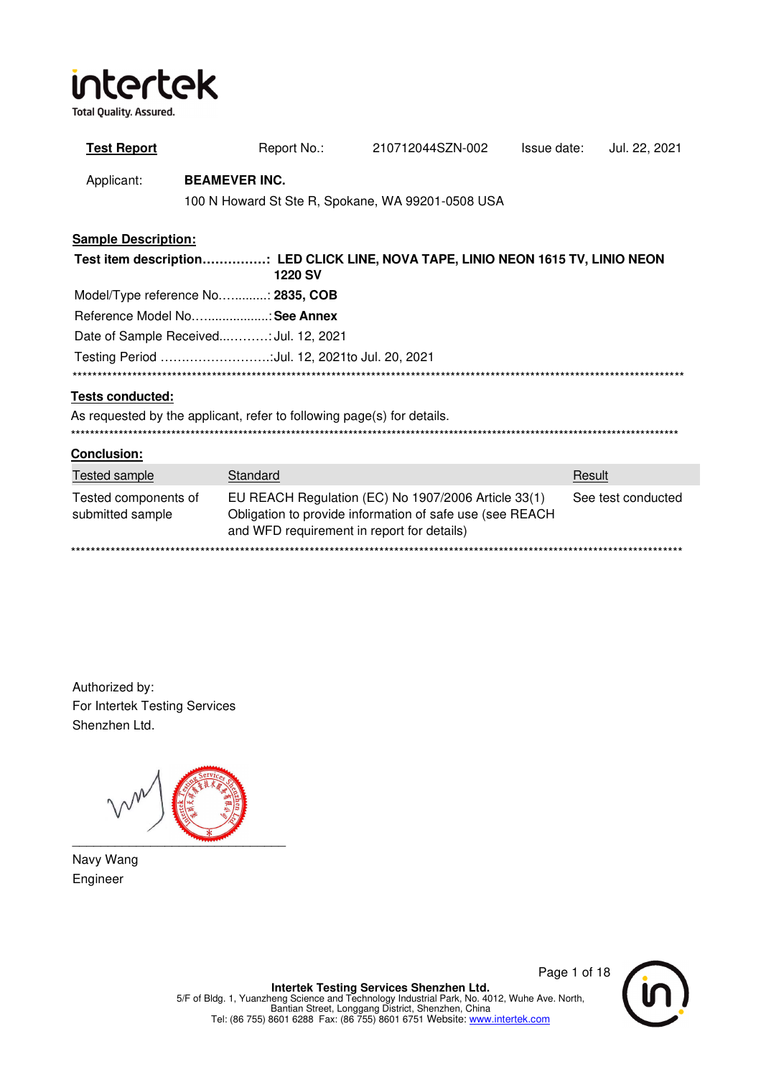**Total Quality. Assured.** 

| <b>Test Report</b>                                                                                 |  | Report No.:                                                            | 210712044SZN-002                                                                                                | Issue date: | Jul. 22, 2021      |  |  |
|----------------------------------------------------------------------------------------------------|--|------------------------------------------------------------------------|-----------------------------------------------------------------------------------------------------------------|-------------|--------------------|--|--|
| Applicant:                                                                                         |  | <b>BEAMEVER INC.</b>                                                   |                                                                                                                 |             |                    |  |  |
|                                                                                                    |  |                                                                        | 100 N Howard St Ste R, Spokane, WA 99201-0508 USA                                                               |             |                    |  |  |
| <b>Sample Description:</b>                                                                         |  |                                                                        |                                                                                                                 |             |                    |  |  |
| Test item description: LED CLICK LINE, NOVA TAPE, LINIO NEON 1615 TV, LINIO NEON<br><b>1220 SV</b> |  |                                                                        |                                                                                                                 |             |                    |  |  |
|                                                                                                    |  | Model/Type reference No: 2835, COB                                     |                                                                                                                 |             |                    |  |  |
|                                                                                                    |  | Reference Model NoSee Annex                                            |                                                                                                                 |             |                    |  |  |
|                                                                                                    |  | Date of Sample Received Jul. 12, 2021                                  |                                                                                                                 |             |                    |  |  |
|                                                                                                    |  | Testing Period Jul. 12, 2021to Jul. 20, 2021                           |                                                                                                                 |             |                    |  |  |
|                                                                                                    |  |                                                                        |                                                                                                                 |             |                    |  |  |
| <b>Tests conducted:</b>                                                                            |  |                                                                        |                                                                                                                 |             |                    |  |  |
|                                                                                                    |  | As requested by the applicant, refer to following page(s) for details. |                                                                                                                 |             |                    |  |  |
| Conclusion:                                                                                        |  |                                                                        |                                                                                                                 |             |                    |  |  |
| <b>Tested sample</b>                                                                               |  | Standard                                                               |                                                                                                                 |             | Result             |  |  |
| Tested components of<br>submitted sample                                                           |  | and WFD requirement in report for details)                             | EU REACH Regulation (EC) No 1907/2006 Article 33(1)<br>Obligation to provide information of safe use (see REACH |             | See test conducted |  |  |
|                                                                                                    |  |                                                                        |                                                                                                                 |             |                    |  |  |

Authorized by: For Intertek Testing Services Shenzhen Ltd.

\_\_\_\_\_\_\_\_\_\_\_\_\_\_\_\_\_\_\_\_\_\_\_\_\_\_\_\_\_\_

Navy Wang Engineer

Page 1 of 18

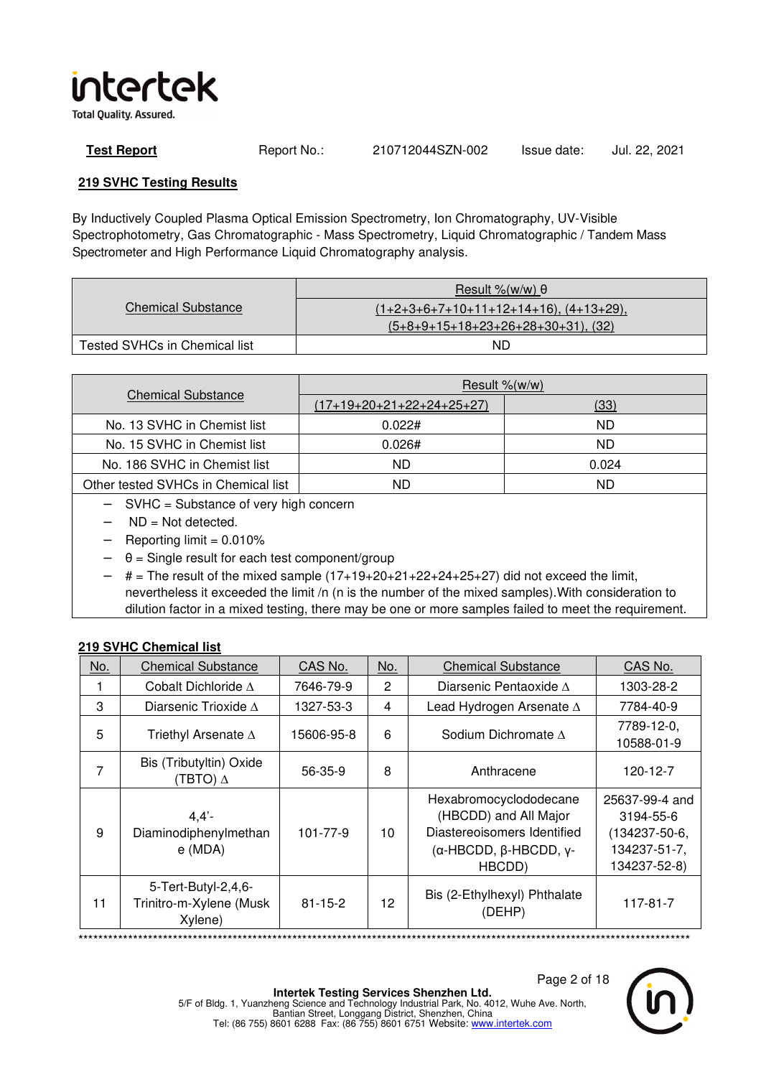

**Test Report** Report No.: 210712044SZN-002 Issue date: Jul. 22, 2021

### **219 SVHC Testing Results**

By Inductively Coupled Plasma Optical Emission Spectrometry, Ion Chromatography, UV-Visible Spectrophotometry, Gas Chromatographic - Mass Spectrometry, Liquid Chromatographic / Tandem Mass Spectrometer and High Performance Liquid Chromatography analysis.

|                               | Result %(w/w) $\theta$                       |
|-------------------------------|----------------------------------------------|
| <b>Chemical Substance</b>     | $(1+2+3+6+7+10+11+12+14+16)$ , $(4+13+29)$ , |
|                               | $(5+8+9+15+18+23+26+28+30+31)$ , (32)        |
| Tested SVHCs in Chemical list | ND                                           |

|                                     | Result $%$ (w/w)          |       |  |  |  |  |
|-------------------------------------|---------------------------|-------|--|--|--|--|
| <b>Chemical Substance</b>           | (17+19+20+21+22+24+25+27) | (33)  |  |  |  |  |
| No. 13 SVHC in Chemist list         | 0.022#                    | ND    |  |  |  |  |
| No. 15 SVHC in Chemist list         | 0.026#                    | ND    |  |  |  |  |
| No. 186 SVHC in Chemist list        | ND                        | 0.024 |  |  |  |  |
| Other tested SVHCs in Chemical list | ND                        | ND.   |  |  |  |  |

- − SVHC = Substance of very high concern
- $ND = Not detected$ .
- $Reporting limit = 0.010%$
- $\theta$  = Single result for each test component/group
- $#$  = The result of the mixed sample  $(17+19+20+21+22+24+25+27)$  did not exceed the limit, nevertheless it exceeded the limit /n (n is the number of the mixed samples).With consideration to dilution factor in a mixed testing, there may be one or more samples failed to meet the requirement.

### **219 SVHC Chemical list**

| No. | <b>Chemical Substance</b>                                 | CAS No.       | No. | <b>Chemical Substance</b>                                                                                                  | CAS No.                                                                      |
|-----|-----------------------------------------------------------|---------------|-----|----------------------------------------------------------------------------------------------------------------------------|------------------------------------------------------------------------------|
|     | Cobalt Dichloride A                                       | 7646-79-9     | 2   | Diarsenic Pentaoxide A                                                                                                     | 1303-28-2                                                                    |
| 3   | Diarsenic Trioxide $\Lambda$                              | 1327-53-3     | 4   | Lead Hydrogen Arsenate $\Delta$                                                                                            | 7784-40-9                                                                    |
| 5   | Triethyl Arsenate $\Delta$                                | 15606-95-8    | 6   | Sodium Dichromate $\Lambda$                                                                                                | 7789-12-0,<br>10588-01-9                                                     |
| 7   | Bis (Tributyltin) Oxide<br>(TBTO) $\Delta$                | 56-35-9       | 8   | Anthracene                                                                                                                 | 120-12-7                                                                     |
| 9   | 4.4'<br>Diaminodiphenylmethan<br>e (MDA)                  | 101-77-9      | 10  | Hexabromocyclododecane<br>(HBCDD) and All Major<br>Diastereoisomers Identified<br>$(α$ -HBCDD, $β$ -HBCDD, $γ$ -<br>HBCDD) | 25637-99-4 and<br>3194-55-6<br>(134237-50-6,<br>134237-51-7,<br>134237-52-8) |
| 11  | 5-Tert-Butyl-2,4,6-<br>Trinitro-m-Xylene (Musk<br>Xylene) | $81 - 15 - 2$ | 12  | Bis (2-Ethylhexyl) Phthalate<br>(DEHP)                                                                                     | 117-81-7                                                                     |

\*\*\*\*\*\*\*\*\*\*\*\*\*\*\*\*\*\*\*\*\*\*\*\*\*\*\*\*\*\*\*\*\*\*\*\*\*\*\*\*\*\*\*\*\*\*\*\*\*\*\*\*\*\*\*\*\*\*\*\*\*\*\*\*\*\*\*\*\*\*\*\*\*\*\*\*\*\*\*\*\*\*\*\*\*\*\*\*\*\*\*\*\*\*\*\*\*\*\*\*\*\*\*\*\*\*\*\*\*\*\*\*\*\*\*\*\*\*\*\*\*\*\*

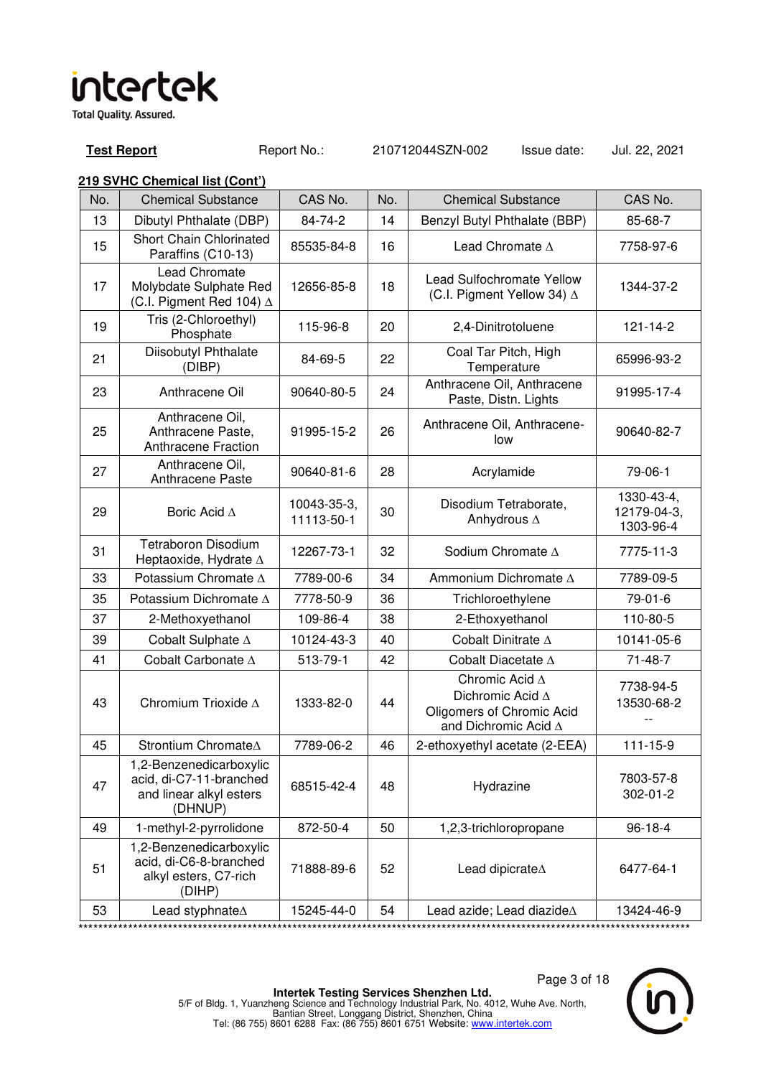**Test Report** Report No.: 210712044SZN-002 Issue date: Jul. 22, 2021

| No. | <b>Chemical Substance</b>                                                                | CAS No.                   | No. | <b>Chemical Substance</b>                                                               | CAS No.                                |
|-----|------------------------------------------------------------------------------------------|---------------------------|-----|-----------------------------------------------------------------------------------------|----------------------------------------|
| 13  | Dibutyl Phthalate (DBP)                                                                  | 84-74-2                   | 14  | Benzyl Butyl Phthalate (BBP)                                                            | 85-68-7                                |
| 15  | Short Chain Chlorinated<br>Paraffins (C10-13)                                            | 85535-84-8                | 16  | Lead Chromate A                                                                         | 7758-97-6                              |
| 17  | <b>Lead Chromate</b><br>Molybdate Sulphate Red<br>(C.I. Pigment Red 104) $\Delta$        | 12656-85-8                | 18  | <b>Lead Sulfochromate Yellow</b><br>(C.I. Pigment Yellow 34) $\Delta$                   | 1344-37-2                              |
| 19  | Tris (2-Chloroethyl)<br>Phosphate                                                        | 115-96-8                  | 20  | 2,4-Dinitrotoluene                                                                      | 121-14-2                               |
| 21  | Diisobutyl Phthalate<br>(DIBP)                                                           | 84-69-5                   | 22  | Coal Tar Pitch, High<br>Temperature                                                     | 65996-93-2                             |
| 23  | Anthracene Oil                                                                           | 90640-80-5                | 24  | Anthracene Oil, Anthracene<br>Paste, Distn. Lights                                      | 91995-17-4                             |
| 25  | Anthracene Oil,<br>Anthracene Paste,<br><b>Anthracene Fraction</b>                       | 91995-15-2                | 26  | Anthracene Oil, Anthracene-<br>low                                                      | 90640-82-7                             |
| 27  | Anthracene Oil,<br>Anthracene Paste                                                      | 90640-81-6                | 28  | Acrylamide                                                                              | 79-06-1                                |
| 29  | Boric Acid A                                                                             | 10043-35-3,<br>11113-50-1 | 30  | Disodium Tetraborate,<br>Anhydrous $\Delta$                                             | 1330-43-4,<br>12179-04-3,<br>1303-96-4 |
| 31  | <b>Tetraboron Disodium</b><br>Heptaoxide, Hydrate A                                      | 12267-73-1                | 32  | Sodium Chromate A                                                                       | 7775-11-3                              |
| 33  | Potassium Chromate ∆                                                                     | 7789-00-6                 | 34  | Ammonium Dichromate A                                                                   | 7789-09-5                              |
| 35  | Potassium Dichromate A                                                                   | 7778-50-9                 | 36  | Trichloroethylene                                                                       | 79-01-6                                |
| 37  | 2-Methoxyethanol                                                                         | 109-86-4                  | 38  | 2-Ethoxyethanol                                                                         | 110-80-5                               |
| 39  | Cobalt Sulphate A                                                                        | 10124-43-3                | 40  | Cobalt Dinitrate $\Delta$                                                               | 10141-05-6                             |
| 41  | Cobalt Carbonate A                                                                       | 513-79-1                  | 42  | Cobalt Diacetate A                                                                      | 71-48-7                                |
| 43  | Chromium Trioxide A                                                                      | 1333-82-0                 | 44  | Chromic Acid ∆<br>Dichromic Acid A<br>Oligomers of Chromic Acid<br>and Dichromic Acid A | 7738-94-5<br>13530-68-2                |
| 45  | Strontium ChromateA                                                                      | 7789-06-2                 | 46  | 2-ethoxyethyl acetate (2-EEA)                                                           | $111 - 15 - 9$                         |
| 47  | 1,2-Benzenedicarboxylic<br>acid, di-C7-11-branched<br>and linear alkyl esters<br>(DHNUP) | 68515-42-4                | 48  | Hydrazine                                                                               | 7803-57-8<br>302-01-2                  |
| 49  | 1-methyl-2-pyrrolidone                                                                   | 872-50-4                  | 50  | 1,2,3-trichloropropane                                                                  | $96 - 18 - 4$                          |
| 51  | 1,2-Benzenedicarboxylic<br>acid, di-C6-8-branched<br>alkyl esters, C7-rich<br>(DIHP)     | 71888-89-6                | 52  | Lead dipicrate <sup><math>\Delta</math></sup>                                           | 6477-64-1                              |
| 53  | Lead styphnate <sup>A</sup>                                                              | 15245-44-0                | 54  | Lead azide; Lead diazide $\Delta$                                                       | 13424-46-9                             |

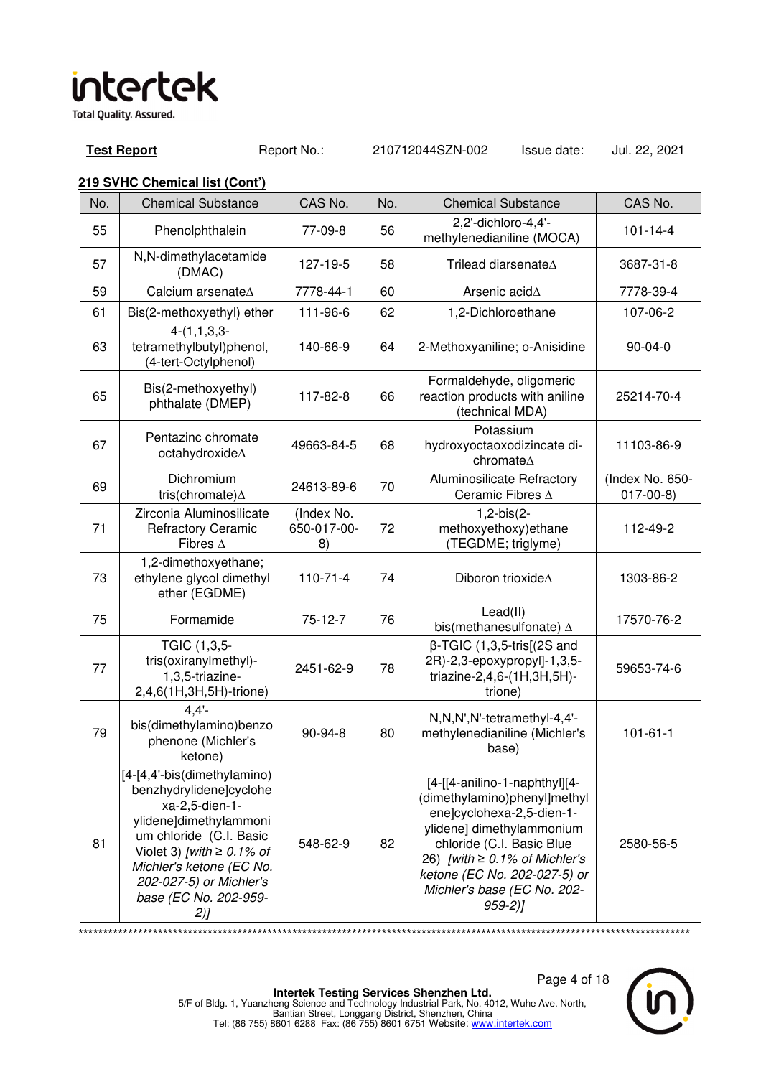**Test Report** Report No.: 210712044SZN-002 Issue date: Jul. 22, 2021

### **219 SVHC Chemical list (Cont')**

| No. | <b>Chemical Substance</b>                                                                                                                                                                                                                             | CAS No.                         | No. | <b>Chemical Substance</b>                                                                                                                                                                                                                                                | CAS No.                       |
|-----|-------------------------------------------------------------------------------------------------------------------------------------------------------------------------------------------------------------------------------------------------------|---------------------------------|-----|--------------------------------------------------------------------------------------------------------------------------------------------------------------------------------------------------------------------------------------------------------------------------|-------------------------------|
| 55  | Phenolphthalein                                                                                                                                                                                                                                       | 77-09-8                         | 56  | 2,2'-dichloro-4,4'-<br>methylenedianiline (MOCA)                                                                                                                                                                                                                         | $101 - 14 - 4$                |
| 57  | N,N-dimethylacetamide<br>(DMAC)                                                                                                                                                                                                                       | 127-19-5                        | 58  | Trilead diarsenateA                                                                                                                                                                                                                                                      | 3687-31-8                     |
| 59  | Calcium arsenate $\Delta$                                                                                                                                                                                                                             | 7778-44-1                       | 60  | Arsenic acid $\Delta$                                                                                                                                                                                                                                                    | 7778-39-4                     |
| 61  | Bis(2-methoxyethyl) ether                                                                                                                                                                                                                             | 111-96-6                        | 62  | 1,2-Dichloroethane                                                                                                                                                                                                                                                       | 107-06-2                      |
| 63  | $4-(1,1,3,3-$<br>tetramethylbutyl)phenol,<br>(4-tert-Octylphenol)                                                                                                                                                                                     | 140-66-9                        | 64  | 2-Methoxyaniline; o-Anisidine                                                                                                                                                                                                                                            | $90 - 04 - 0$                 |
| 65  | Bis(2-methoxyethyl)<br>phthalate (DMEP)                                                                                                                                                                                                               | 117-82-8                        | 66  | Formaldehyde, oligomeric<br>reaction products with aniline<br>(technical MDA)                                                                                                                                                                                            | 25214-70-4                    |
| 67  | Pentazinc chromate<br>octahydroxide∆                                                                                                                                                                                                                  | 49663-84-5                      | 68  | Potassium<br>hydroxyoctaoxodizincate di-<br>chromate∆                                                                                                                                                                                                                    | 11103-86-9                    |
| 69  | Dichromium<br>tris(chromate) $\Delta$                                                                                                                                                                                                                 | 24613-89-6                      | 70  | Aluminosilicate Refractory<br>Ceramic Fibres A                                                                                                                                                                                                                           | (Index No. 650-<br>$017-00-8$ |
| 71  | Zirconia Aluminosilicate<br><b>Refractory Ceramic</b><br>Fibres $\Delta$                                                                                                                                                                              | (Index No.<br>650-017-00-<br>8) | 72  | 1,2-bis(2-<br>methoxyethoxy) ethane<br>(TEGDME; triglyme)                                                                                                                                                                                                                | 112-49-2                      |
| 73  | 1,2-dimethoxyethane;<br>ethylene glycol dimethyl<br>ether (EGDME)                                                                                                                                                                                     | $110 - 71 - 4$                  | 74  | Diboron trioxideA                                                                                                                                                                                                                                                        | 1303-86-2                     |
| 75  | Formamide                                                                                                                                                                                                                                             | 75-12-7                         | 76  | Lead(II)<br>bis(methanesulfonate) $\Delta$                                                                                                                                                                                                                               | 17570-76-2                    |
| 77  | TGIC (1,3,5-<br>tris(oxiranylmethyl)-<br>1,3,5-triazine-<br>2,4,6(1H,3H,5H)-trione)                                                                                                                                                                   | 2451-62-9                       | 78  | $\beta$ -TGIC (1,3,5-tris[(2S and<br>2R)-2,3-epoxypropyl]-1,3,5-<br>triazine-2,4,6-(1H,3H,5H)-<br>trione)                                                                                                                                                                | 59653-74-6                    |
| 79  | $4,4'$ -<br>bis(dimethylamino)benzo<br>phenone (Michler's<br>ketone)                                                                                                                                                                                  | 90-94-8                         | 80  | N,N,N',N'-tetramethyl-4,4'-<br>methylenedianiline (Michler's<br>base)                                                                                                                                                                                                    | $101 - 61 - 1$                |
| 81  | [4-[4,4'-bis(dimethylamino)<br>benzhydrylidene]cyclohe<br>xa-2,5-dien-1-<br>ylidene]dimethylammoni<br>um chloride (C.I. Basic<br>Violet 3) [with $\geq$ 0.1% of<br>Michler's ketone (EC No.<br>202-027-5) or Michler's<br>base (EC No. 202-959-<br>2) | 548-62-9                        | 82  | [4-[[4-anilino-1-naphthyl][4-<br>(dimethylamino)phenyl]methyl<br>ene]cyclohexa-2,5-dien-1-<br>ylidene] dimethylammonium<br>chloride (C.I. Basic Blue<br>26) [with $\geq 0.1\%$ of Michler's<br>ketone (EC No. 202-027-5) or<br>Michler's base (EC No. 202-<br>$959 - 2)$ | 2580-56-5                     |

\*\*\*\*\*\*\*\*\*\*\*\*\*\*\*\*\*\*\*\*\*\*\*\*\*\*\*\*\*\*\*\*\*\*\*\*\*\*\*\*\*\*\*\*\*\*\*\*\*\*\*\*\*\*\*\*\*\*\*\*\*\*\*\*\*\*\*\*\*\*\*\*\*\*\*\*\*\*\*\*\*\*\*\*\*\*\*\*\*\*\*\*\*\*\*\*\*\*\*\*\*\*\*\*\*\*\*\*\*\*\*\*\*\*\*\*\*\*\*\*\*\*\*

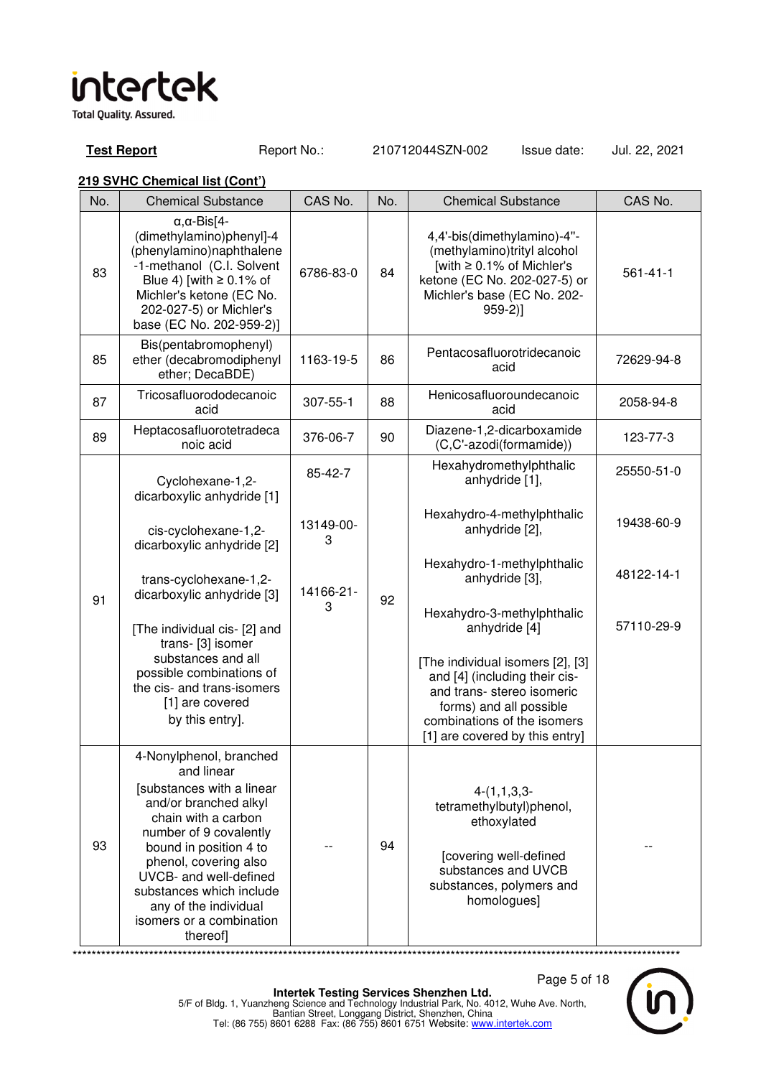**Total Quality. Assured.** 

**Test Report** Report No.: 210712044SZN-002 Issue date: Jul. 22, 2021

### **219 SVHC Chemical list (Cont')**

| No. | <b>Chemical Substance</b>                                                                                                                                                                                                         | CAS No.        | No. | <b>Chemical Substance</b>                                                                                                                                                                  | CAS No.        |
|-----|-----------------------------------------------------------------------------------------------------------------------------------------------------------------------------------------------------------------------------------|----------------|-----|--------------------------------------------------------------------------------------------------------------------------------------------------------------------------------------------|----------------|
| 83  | $\alpha, \alpha$ -Bis[4-<br>(dimethylamino)phenyl]-4<br>(phenylamino)naphthalene<br>-1-methanol (C.I. Solvent<br>Blue 4) [with $\geq 0.1\%$ of<br>Michler's ketone (EC No.<br>202-027-5) or Michler's<br>base (EC No. 202-959-2)] | 6786-83-0      | 84  | 4,4'-bis(dimethylamino)-4"-<br>(methylamino)trityl alcohol<br>[with $\geq 0.1\%$ of Michler's<br>ketone (EC No. 202-027-5) or<br>Michler's base (EC No. 202-<br>$959-2]$                   | $561 - 41 - 1$ |
| 85  | Bis(pentabromophenyl)<br>ether (decabromodiphenyl<br>ether; DecaBDE)                                                                                                                                                              | 1163-19-5      | 86  | Pentacosafluorotridecanoic<br>acid                                                                                                                                                         | 72629-94-8     |
| 87  | Tricosafluorododecanoic<br>acid                                                                                                                                                                                                   | 307-55-1       | 88  | Henicosafluoroundecanoic<br>acid                                                                                                                                                           | 2058-94-8      |
| 89  | Heptacosafluorotetradeca<br>noic acid                                                                                                                                                                                             | 376-06-7       | 90  | Diazene-1,2-dicarboxamide<br>(C,C'-azodi(formamide))                                                                                                                                       | 123-77-3       |
|     | Cyclohexane-1,2-<br>dicarboxylic anhydride [1]                                                                                                                                                                                    | 85-42-7        |     | Hexahydromethylphthalic<br>anhydride [1],                                                                                                                                                  | 25550-51-0     |
|     | cis-cyclohexane-1,2-<br>dicarboxylic anhydride [2]                                                                                                                                                                                | 13149-00-<br>3 |     | Hexahydro-4-methylphthalic<br>anhydride [2],                                                                                                                                               | 19438-60-9     |
| 91  | trans-cyclohexane-1,2-<br>dicarboxylic anhydride [3]                                                                                                                                                                              | 14166-21-      | 92  | Hexahydro-1-methylphthalic<br>anhydride [3],                                                                                                                                               | 48122-14-1     |
|     | [The individual cis- [2] and<br>trans- [3] isomer                                                                                                                                                                                 | 3              |     | Hexahydro-3-methylphthalic<br>anhydride [4]                                                                                                                                                | 57110-29-9     |
|     | substances and all<br>possible combinations of<br>the cis- and trans-isomers<br>[1] are covered<br>by this entry].                                                                                                                |                |     | [The individual isomers [2], [3]<br>and [4] (including their cis-<br>and trans-stereo isomeric<br>forms) and all possible<br>combinations of the isomers<br>[1] are covered by this entry] |                |
|     | 4-Nonylphenol, branched<br>and linear<br>[substances with a linear                                                                                                                                                                |                |     |                                                                                                                                                                                            |                |
| 93  | and/or branched alkyl<br>chain with a carbon<br>number of 9 covalently<br>bound in position 4 to<br>phenol, covering also<br>UVCB- and well-defined                                                                               |                | 94  | $4-(1,1,3,3-$<br>tetramethylbutyl)phenol,<br>ethoxylated<br>[covering well-defined<br>substances and UVCB                                                                                  |                |
|     | substances which include<br>any of the individual<br>isomers or a combination<br>thereof]                                                                                                                                         |                |     | substances, polymers and<br>homologues]                                                                                                                                                    |                |

\*\*\*\*\*\*\*\*\*\*\*\*\*\*\*\*\*\*\*\*\*\*\*\*\*\*\*\*\*\*\*\*\*\*\*\*\*\*\*\*\*\*\*\*\*\*\*\*\*\*\*\*\*\*\*\*\*\*\*\*\*\*\*\*\*\*\*\*\*\*\*\*\*\*\*\*\*\*\*\*\*\*\*\*\*\*\*\*\*\*\*\*\*\*\*\*\*\*\*\*\*\*\*\*\*\*\*\*\*\*\*\*\*\*\*\*\*\*\*\*\*\*\*\*\*\*\*

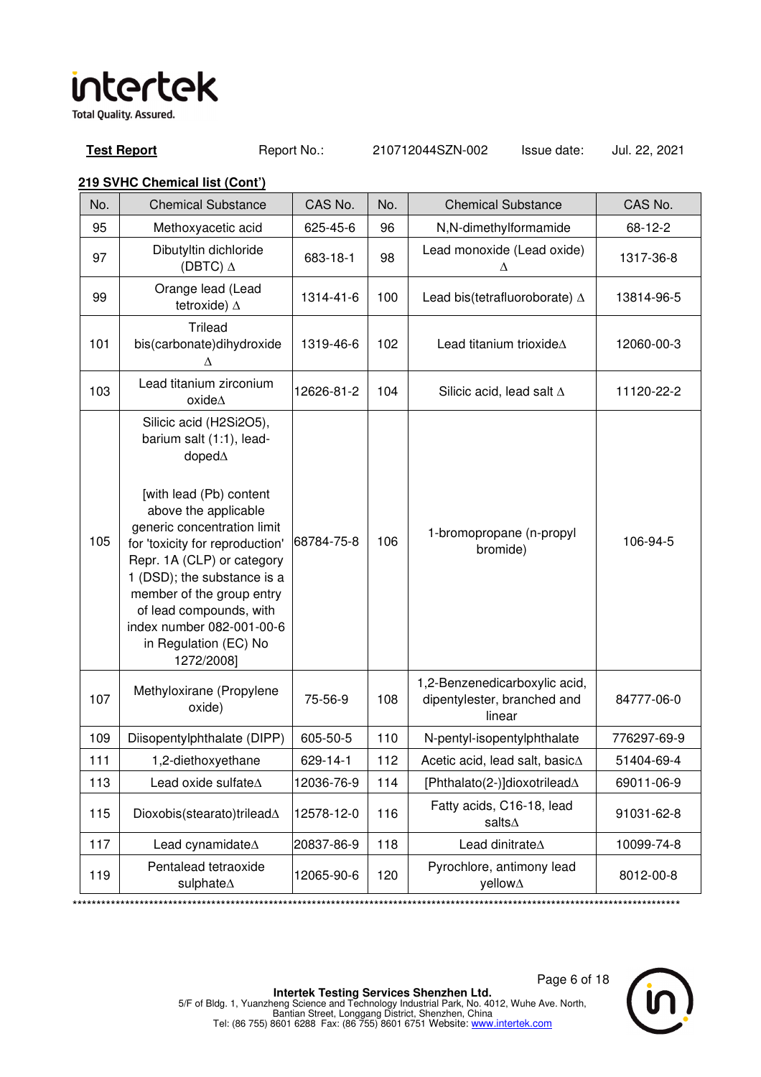**Test Report** Report No.: 210712044SZN-002 Issue date: Jul. 22, 2021

| No. | <b>Chemical Substance</b>                                                                                                                                                                                                                                                                                                                                                           | CAS No.    | No. | <b>Chemical Substance</b>                                              | CAS No.     |
|-----|-------------------------------------------------------------------------------------------------------------------------------------------------------------------------------------------------------------------------------------------------------------------------------------------------------------------------------------------------------------------------------------|------------|-----|------------------------------------------------------------------------|-------------|
| 95  | Methoxyacetic acid                                                                                                                                                                                                                                                                                                                                                                  | 625-45-6   | 96  | N,N-dimethylformamide                                                  | 68-12-2     |
| 97  | Dibutyltin dichloride<br>(DBTC) $\Delta$                                                                                                                                                                                                                                                                                                                                            | 683-18-1   | 98  | Lead monoxide (Lead oxide)<br>Δ                                        | 1317-36-8   |
| 99  | Orange lead (Lead<br>tetroxide) $\Delta$                                                                                                                                                                                                                                                                                                                                            | 1314-41-6  | 100 | Lead bis(tetrafluoroborate) $\Delta$                                   | 13814-96-5  |
| 101 | <b>Trilead</b><br>bis(carbonate)dihydroxide<br>Δ                                                                                                                                                                                                                                                                                                                                    | 1319-46-6  | 102 | Lead titanium trioxideA                                                | 12060-00-3  |
| 103 | Lead titanium zirconium<br>oxide $\Delta$                                                                                                                                                                                                                                                                                                                                           | 12626-81-2 | 104 | Silicic acid, lead salt $\Delta$                                       | 11120-22-2  |
| 105 | Silicic acid (H2Si2O5),<br>barium salt (1:1), lead-<br>doped $\Delta$<br>[with lead (Pb) content<br>above the applicable<br>generic concentration limit<br>for 'toxicity for reproduction'<br>Repr. 1A (CLP) or category<br>1 (DSD); the substance is a<br>member of the group entry<br>of lead compounds, with<br>index number 082-001-00-6<br>in Regulation (EC) No<br>1272/2008] | 68784-75-8 | 106 | 1-bromopropane (n-propyl<br>bromide)                                   | 106-94-5    |
| 107 | Methyloxirane (Propylene<br>oxide)                                                                                                                                                                                                                                                                                                                                                  | 75-56-9    | 108 | 1,2-Benzenedicarboxylic acid,<br>dipentylester, branched and<br>linear | 84777-06-0  |
| 109 | Diisopentylphthalate (DIPP)                                                                                                                                                                                                                                                                                                                                                         | 605-50-5   | 110 | N-pentyl-isopentylphthalate                                            | 776297-69-9 |
| 111 | 1,2-diethoxyethane                                                                                                                                                                                                                                                                                                                                                                  | 629-14-1   | 112 | Acetic acid, lead salt, basic∆                                         | 51404-69-4  |
| 113 | Lead oxide sulfate $\Delta$                                                                                                                                                                                                                                                                                                                                                         | 12036-76-9 | 114 | [Phthalato(2-)]dioxotrilead $\Delta$                                   | 69011-06-9  |
| 115 | Dioxobis(stearato)trilead $\Delta$                                                                                                                                                                                                                                                                                                                                                  | 12578-12-0 | 116 | Fatty acids, C16-18, lead<br>salts $\Delta$                            | 91031-62-8  |
| 117 | Lead cynamidate $\Delta$                                                                                                                                                                                                                                                                                                                                                            | 20837-86-9 | 118 | Lead dinitrate <sup><math>\Delta</math></sup>                          | 10099-74-8  |
| 119 | Pentalead tetraoxide<br>sulphate $\Delta$                                                                                                                                                                                                                                                                                                                                           | 12065-90-6 | 120 | Pyrochlore, antimony lead<br>yellow∆                                   | 8012-00-8   |

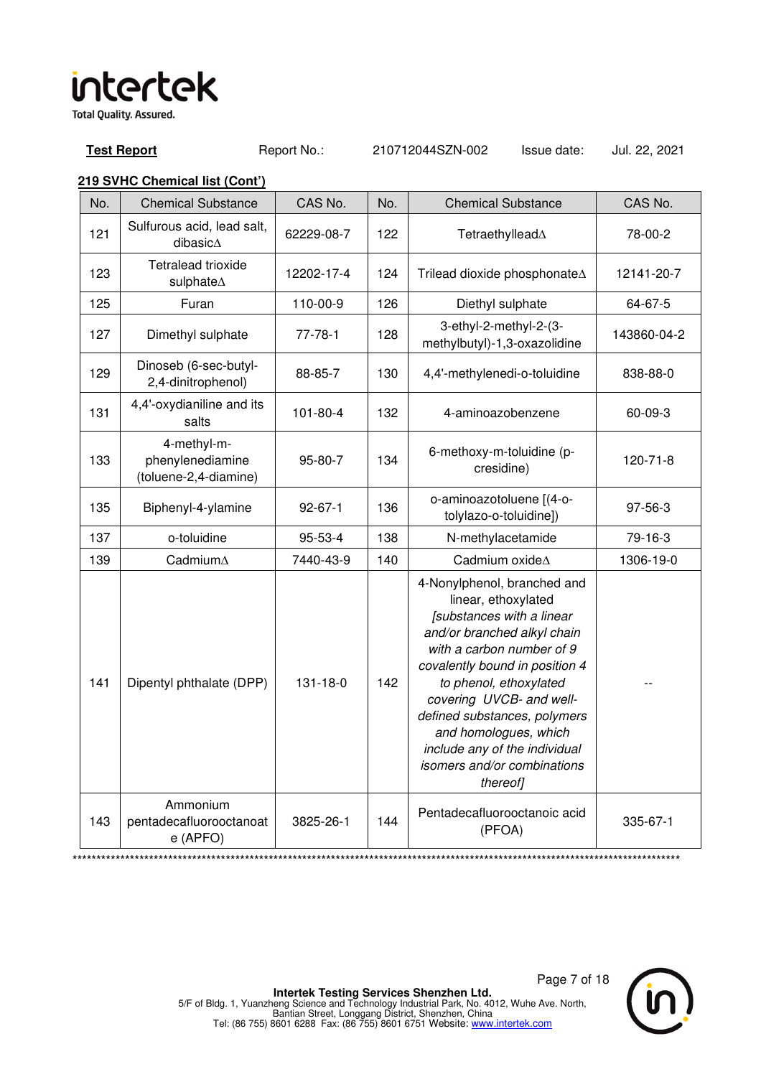**Test Report** Report No.: 210712044SZN-002 Issue date: Jul. 22, 2021

| No. | <b>Chemical Substance</b>                                | CAS No.       | No. | <b>Chemical Substance</b>                                                                                                                                                                                                                                                                                                                                                | CAS No.        |
|-----|----------------------------------------------------------|---------------|-----|--------------------------------------------------------------------------------------------------------------------------------------------------------------------------------------------------------------------------------------------------------------------------------------------------------------------------------------------------------------------------|----------------|
| 121 | Sulfurous acid, lead salt,<br>dibasic $\Delta$           | 62229-08-7    | 122 | Tetraethyllead∆                                                                                                                                                                                                                                                                                                                                                          | 78-00-2        |
| 123 | Tetralead trioxide<br>sulphate∆                          | 12202-17-4    | 124 | Trilead dioxide phosphonate∆                                                                                                                                                                                                                                                                                                                                             | 12141-20-7     |
| 125 | Furan                                                    | 110-00-9      | 126 | Diethyl sulphate                                                                                                                                                                                                                                                                                                                                                         | 64-67-5        |
| 127 | Dimethyl sulphate                                        | $77 - 78 - 1$ | 128 | 3-ethyl-2-methyl-2-(3-<br>methylbutyl)-1,3-oxazolidine                                                                                                                                                                                                                                                                                                                   | 143860-04-2    |
| 129 | Dinoseb (6-sec-butyl-<br>2,4-dinitrophenol)              | 88-85-7       | 130 | 4,4'-methylenedi-o-toluidine                                                                                                                                                                                                                                                                                                                                             | 838-88-0       |
| 131 | 4,4'-oxydianiline and its<br>salts                       | 101-80-4      | 132 | 4-aminoazobenzene                                                                                                                                                                                                                                                                                                                                                        | 60-09-3        |
| 133 | 4-methyl-m-<br>phenylenediamine<br>(toluene-2,4-diamine) | 95-80-7       | 134 | 6-methoxy-m-toluidine (p-<br>cresidine)                                                                                                                                                                                                                                                                                                                                  | $120 - 71 - 8$ |
| 135 | Biphenyl-4-ylamine                                       | $92 - 67 - 1$ | 136 | o-aminoazotoluene [(4-o-<br>tolylazo-o-toluidine])                                                                                                                                                                                                                                                                                                                       | 97-56-3        |
| 137 | o-toluidine                                              | 95-53-4       | 138 | N-methylacetamide                                                                                                                                                                                                                                                                                                                                                        | 79-16-3        |
| 139 | Cadmium∆                                                 | 7440-43-9     | 140 | Cadmium oxideA                                                                                                                                                                                                                                                                                                                                                           | 1306-19-0      |
| 141 | Dipentyl phthalate (DPP)                                 | 131-18-0      | 142 | 4-Nonylphenol, branched and<br>linear, ethoxylated<br>[substances with a linear<br>and/or branched alkyl chain<br>with a carbon number of 9<br>covalently bound in position 4<br>to phenol, ethoxylated<br>covering UVCB- and well-<br>defined substances, polymers<br>and homologues, which<br>include any of the individual<br>isomers and/or combinations<br>thereof] |                |
| 143 | Ammonium<br>pentadecafluorooctanoat<br>e (APFO)          | 3825-26-1     | 144 | Pentadecafluorooctanoic acid<br>(PFOA)                                                                                                                                                                                                                                                                                                                                   | 335-67-1       |

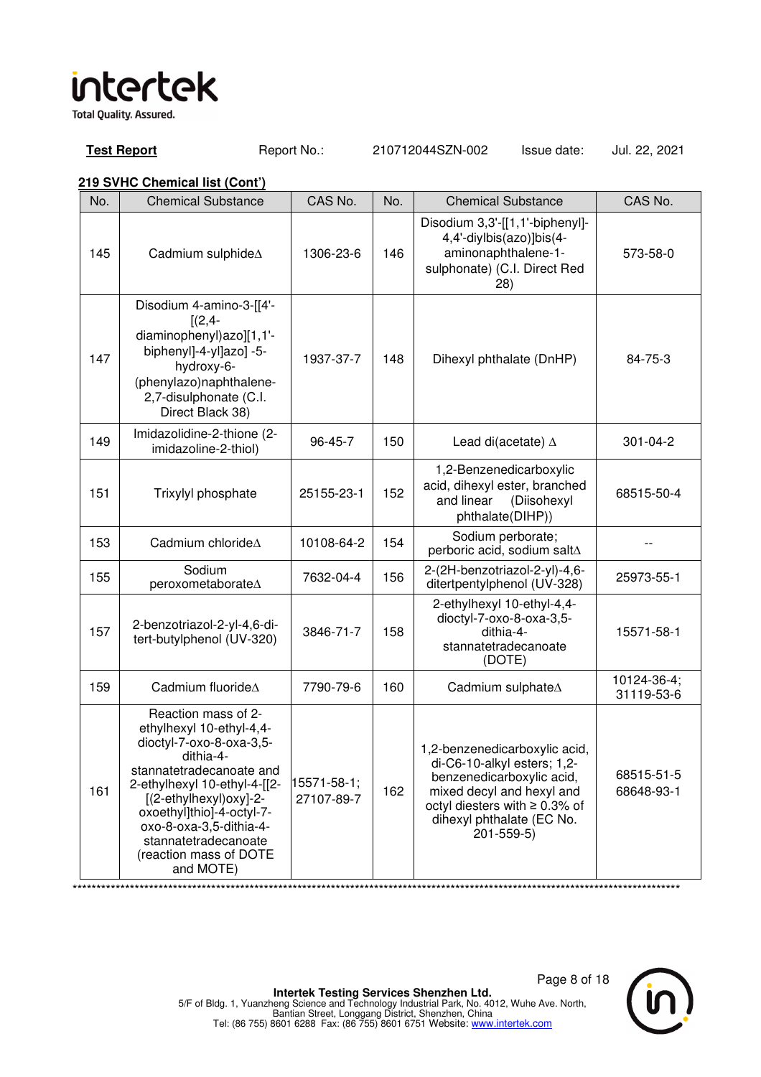**Test Report** Report No.: 210712044SZN-002 Issue date: Jul. 22, 2021

### **219 SVHC Chemical list (Cont')**

| No. | <b>Chemical Substance</b>                                                                                                                                                                                                                                                                             | CAS No.                   | No. | <b>Chemical Substance</b>                                                                                                                                                                                     | CAS No.                   |
|-----|-------------------------------------------------------------------------------------------------------------------------------------------------------------------------------------------------------------------------------------------------------------------------------------------------------|---------------------------|-----|---------------------------------------------------------------------------------------------------------------------------------------------------------------------------------------------------------------|---------------------------|
| 145 | Cadmium sulphide A                                                                                                                                                                                                                                                                                    | 1306-23-6                 | 146 | Disodium 3,3'-[[1,1'-biphenyl]-<br>4,4'-diylbis(azo)]bis(4-<br>aminonaphthalene-1-<br>sulphonate) (C.I. Direct Red<br>28)                                                                                     | 573-58-0                  |
| 147 | Disodium 4-amino-3-[[4'-<br>$[(2,4 -$<br>diaminophenyl)azo][1,1'-<br>biphenyl]-4-yl]azo] -5-<br>hydroxy-6-<br>(phenylazo)naphthalene-<br>2,7-disulphonate (C.I.<br>Direct Black 38)                                                                                                                   | 1937-37-7                 | 148 | Dihexyl phthalate (DnHP)                                                                                                                                                                                      | 84-75-3                   |
| 149 | Imidazolidine-2-thione (2-<br>imidazoline-2-thiol)                                                                                                                                                                                                                                                    | 96-45-7                   | 150 | Lead di(acetate) $\Delta$                                                                                                                                                                                     | 301-04-2                  |
| 151 | Trixylyl phosphate                                                                                                                                                                                                                                                                                    | 25155-23-1                | 152 | 1,2-Benzenedicarboxylic<br>acid, dihexyl ester, branched<br>and linear<br>(Diisohexyl<br>phthalate(DIHP))                                                                                                     | 68515-50-4                |
| 153 | Cadmium chloride A                                                                                                                                                                                                                                                                                    | 10108-64-2                | 154 | Sodium perborate;<br>perboric acid, sodium salt $\Delta$                                                                                                                                                      |                           |
| 155 | Sodium<br>peroxometaborate∆                                                                                                                                                                                                                                                                           | 7632-04-4                 | 156 | 2-(2H-benzotriazol-2-yl)-4,6-<br>ditertpentylphenol (UV-328)                                                                                                                                                  | 25973-55-1                |
| 157 | 2-benzotriazol-2-yl-4,6-di-<br>tert-butylphenol (UV-320)                                                                                                                                                                                                                                              | 3846-71-7                 | 158 | 2-ethylhexyl 10-ethyl-4,4-<br>dioctyl-7-oxo-8-oxa-3,5-<br>dithia-4-<br>stannatetradecanoate<br>(DOTE)                                                                                                         | 15571-58-1                |
| 159 | Cadmium fluoride <sup><math>\Delta</math></sup>                                                                                                                                                                                                                                                       | 7790-79-6                 | 160 | Cadmium sulphate $\Delta$                                                                                                                                                                                     | 10124-36-4;<br>31119-53-6 |
| 161 | Reaction mass of 2-<br>ethylhexyl 10-ethyl-4,4-<br>dioctyl-7-oxo-8-oxa-3,5-<br>dithia-4-<br>stannatetradecanoate and<br>2-ethylhexyl 10-ethyl-4-[[2-<br>[(2-ethylhexyl)oxy]-2-<br>oxoethyl]thio]-4-octyl-7-<br>oxo-8-oxa-3,5-dithia-4-<br>stannatetradecanoate<br>(reaction mass of DOTE<br>and MOTE) | 15571-58-1;<br>27107-89-7 | 162 | 1,2-benzenedicarboxylic acid,<br>di-C6-10-alkyl esters; 1,2-<br>benzenedicarboxylic acid,<br>mixed decyl and hexyl and<br>octyl diesters with $\geq 0.3\%$ of<br>dihexyl phthalate (EC No.<br>$201 - 559 - 5$ | 68515-51-5<br>68648-93-1  |

\*\*\*\*\*\*\*\*\*\*\*\*\*\*\*\*\*\*\*\*\*\*\*\*\*\*\*\*\*\*\*\*\*\*\*\*\*\*\*\*\*\*\*\*\*\*\*\*\*\*\*\*\*\*\*\*\*\*\*\*\*\*\*\*\*\*\*\*\*\*\*\*\*\*\*\*\*\*\*\*\*\*\*\*\*\*\*\*\*\*\*\*\*\*\*\*\*\*\*\*\*\*\*\*\*\*\*\*\*\*\*\*\*\*\*\*\*\*\*\*\*\*\*\*\*\*\*

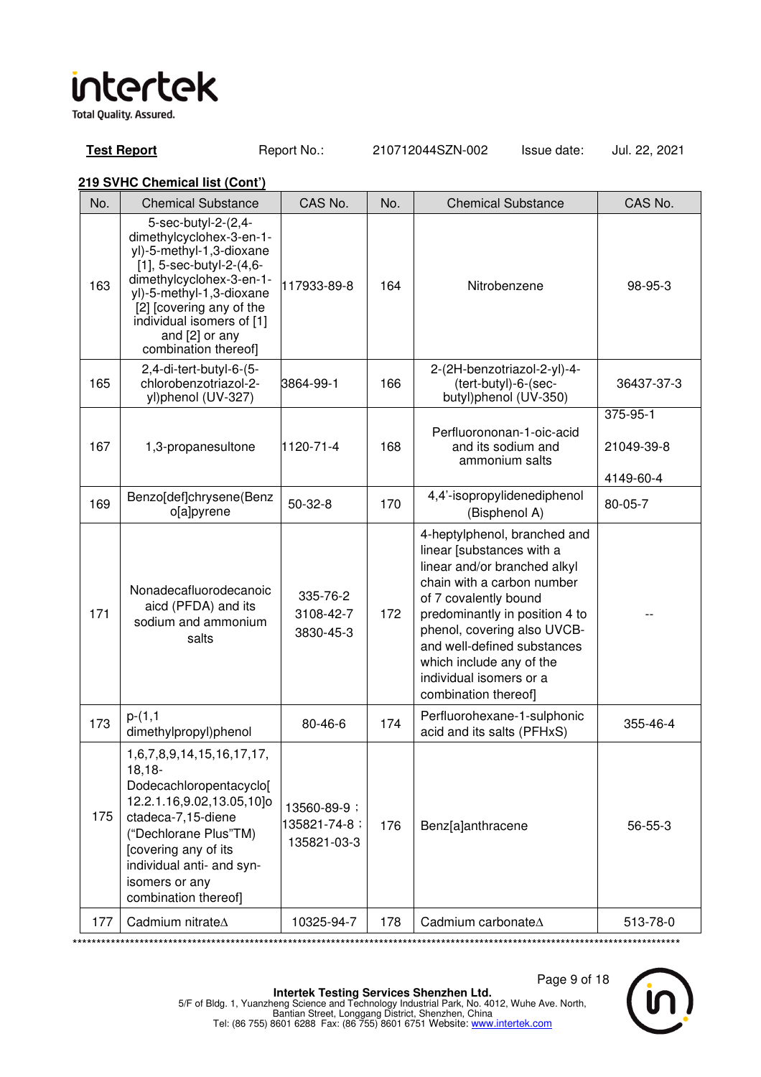**Test Report** Report No.: 210712044SZN-002 Issue date: Jul. 22, 2021

| No. | <b>Chemical Substance</b>                                                                                                                                                                                                                                                 | CAS No.                                    | No. | <b>Chemical Substance</b>                                                                                                                                                                                                                                                                                                       | CAS No.                             |
|-----|---------------------------------------------------------------------------------------------------------------------------------------------------------------------------------------------------------------------------------------------------------------------------|--------------------------------------------|-----|---------------------------------------------------------------------------------------------------------------------------------------------------------------------------------------------------------------------------------------------------------------------------------------------------------------------------------|-------------------------------------|
| 163 | 5-sec-butyl-2-(2,4-<br>dimethylcyclohex-3-en-1-<br>yl)-5-methyl-1,3-dioxane<br>$[1]$ , 5-sec-butyl-2- $(4, 6-$<br>dimethylcyclohex-3-en-1-<br>yl)-5-methyl-1,3-dioxane<br>[2] [covering any of the<br>individual isomers of [1]<br>and [2] or any<br>combination thereof] | 117933-89-8                                | 164 | Nitrobenzene                                                                                                                                                                                                                                                                                                                    | 98-95-3                             |
| 165 | 2,4-di-tert-butyl-6-(5-<br>chlorobenzotriazol-2-<br>yl)phenol (UV-327)                                                                                                                                                                                                    | 3864-99-1                                  | 166 | 2-(2H-benzotriazol-2-yl)-4-<br>(tert-butyl)-6-(sec-<br>butyl)phenol (UV-350)                                                                                                                                                                                                                                                    | 36437-37-3                          |
| 167 | 1,3-propanesultone                                                                                                                                                                                                                                                        | 1120-71-4                                  | 168 | Perfluorononan-1-oic-acid<br>and its sodium and<br>ammonium salts                                                                                                                                                                                                                                                               | 375-95-1<br>21049-39-8<br>4149-60-4 |
| 169 | Benzo[def]chrysene(Benz<br>o[a]pyrene                                                                                                                                                                                                                                     | $50 - 32 - 8$                              | 170 | 4,4'-isopropylidenediphenol<br>(Bisphenol A)                                                                                                                                                                                                                                                                                    | 80-05-7                             |
| 171 | Nonadecafluorodecanoic<br>aicd (PFDA) and its<br>sodium and ammonium<br>salts                                                                                                                                                                                             | 335-76-2<br>3108-42-7<br>3830-45-3         | 172 | 4-heptylphenol, branched and<br>linear [substances with a<br>linear and/or branched alkyl<br>chain with a carbon number<br>of 7 covalently bound<br>predominantly in position 4 to<br>phenol, covering also UVCB-<br>and well-defined substances<br>which include any of the<br>individual isomers or a<br>combination thereof] |                                     |
| 173 | $p-(1,1)$<br>dimethylpropyl)phenol                                                                                                                                                                                                                                        | 80-46-6                                    | 174 | Perfluorohexane-1-sulphonic<br>acid and its salts (PFHxS)                                                                                                                                                                                                                                                                       | 355-46-4                            |
| 175 | 1,6,7,8,9,14,15,16,17,17,<br>$18,18-$<br>Dodecachloropentacyclo[<br>12.2.1.16,9.02,13.05,10]o<br>ctadeca-7,15-diene<br>("Dechlorane Plus"TM)<br>[covering any of its<br>individual anti- and syn-<br>isomers or any<br>combination thereof]                               | 13560-89-9;<br>135821-74-8;<br>135821-03-3 | 176 | Benz[a]anthracene                                                                                                                                                                                                                                                                                                               | 56-55-3                             |
| 177 | Cadmium nitrate <sup><math>\Delta</math></sup>                                                                                                                                                                                                                            | 10325-94-7                                 | 178 | Cadmium carbonateA                                                                                                                                                                                                                                                                                                              | 513-78-0                            |

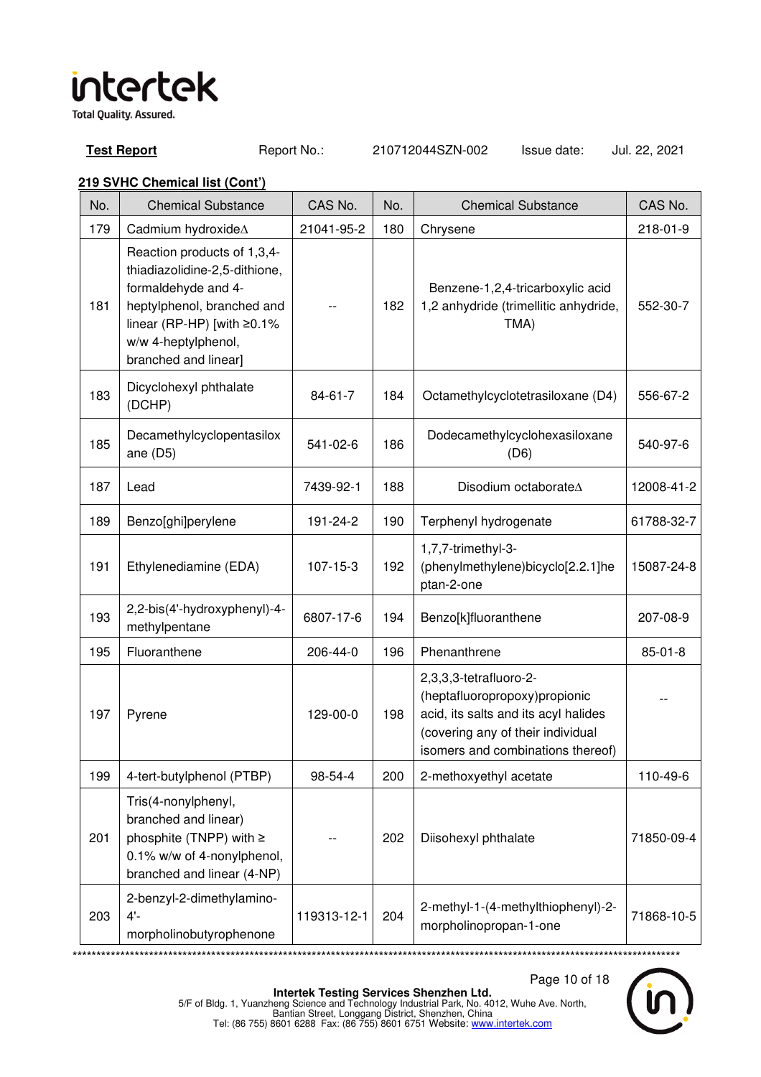**Test Report** Report No.: 210712044SZN-002 Issue date: Jul. 22, 2021

| No. | <b>Chemical Substance</b>                                                                                                                                                                            | CAS No.        | No. | <b>Chemical Substance</b>                                                                                                                                                 | CAS No.       |
|-----|------------------------------------------------------------------------------------------------------------------------------------------------------------------------------------------------------|----------------|-----|---------------------------------------------------------------------------------------------------------------------------------------------------------------------------|---------------|
| 179 | Cadmium hydroxideA                                                                                                                                                                                   | 21041-95-2     | 180 | Chrysene                                                                                                                                                                  | 218-01-9      |
| 181 | Reaction products of 1,3,4-<br>thiadiazolidine-2,5-dithione,<br>formaldehyde and 4-<br>heptylphenol, branched and<br>linear (RP-HP) [with $\geq$ 0.1%<br>w/w 4-heptylphenol,<br>branched and linear] |                | 182 | Benzene-1,2,4-tricarboxylic acid<br>1,2 anhydride (trimellitic anhydride,<br>TMA)                                                                                         | 552-30-7      |
| 183 | Dicyclohexyl phthalate<br>(DCHP)                                                                                                                                                                     | 84-61-7        | 184 | Octamethylcyclotetrasiloxane (D4)                                                                                                                                         | 556-67-2      |
| 185 | Decamethylcyclopentasilox<br>ane $(D5)$                                                                                                                                                              | 541-02-6       | 186 | Dodecamethylcyclohexasiloxane<br>(D6)                                                                                                                                     | 540-97-6      |
| 187 | Lead                                                                                                                                                                                                 | 7439-92-1      | 188 | Disodium octaborateA                                                                                                                                                      | 12008-41-2    |
| 189 | Benzo[ghi]perylene                                                                                                                                                                                   | 191-24-2       | 190 | Terphenyl hydrogenate                                                                                                                                                     | 61788-32-7    |
| 191 | Ethylenediamine (EDA)                                                                                                                                                                                | $107 - 15 - 3$ | 192 | 1,7,7-trimethyl-3-<br>(phenylmethylene)bicyclo[2.2.1]he<br>ptan-2-one                                                                                                     | 15087-24-8    |
| 193 | 2,2-bis(4'-hydroxyphenyl)-4-<br>methylpentane                                                                                                                                                        | 6807-17-6      | 194 | Benzo[k]fluoranthene                                                                                                                                                      | 207-08-9      |
| 195 | Fluoranthene                                                                                                                                                                                         | 206-44-0       | 196 | Phenanthrene                                                                                                                                                              | $85 - 01 - 8$ |
| 197 | Pyrene                                                                                                                                                                                               | 129-00-0       | 198 | 2,3,3,3-tetrafluoro-2-<br>(heptafluoropropoxy)propionic<br>acid, its salts and its acyl halides<br>(covering any of their individual<br>isomers and combinations thereof) |               |
| 199 | 4-tert-butylphenol (PTBP)                                                                                                                                                                            | 98-54-4        | 200 | 2-methoxyethyl acetate                                                                                                                                                    | 110-49-6      |
| 201 | Tris(4-nonylphenyl,<br>branched and linear)<br>phosphite (TNPP) with ≥<br>0.1% w/w of 4-nonylphenol,<br>branched and linear (4-NP)                                                                   |                | 202 | Diisohexyl phthalate                                                                                                                                                      | 71850-09-4    |
| 203 | 2-benzyl-2-dimethylamino-<br>$4'$ -<br>morpholinobutyrophenone                                                                                                                                       | 119313-12-1    | 204 | 2-methyl-1-(4-methylthiophenyl)-2-<br>morpholinopropan-1-one                                                                                                              | 71868-10-5    |

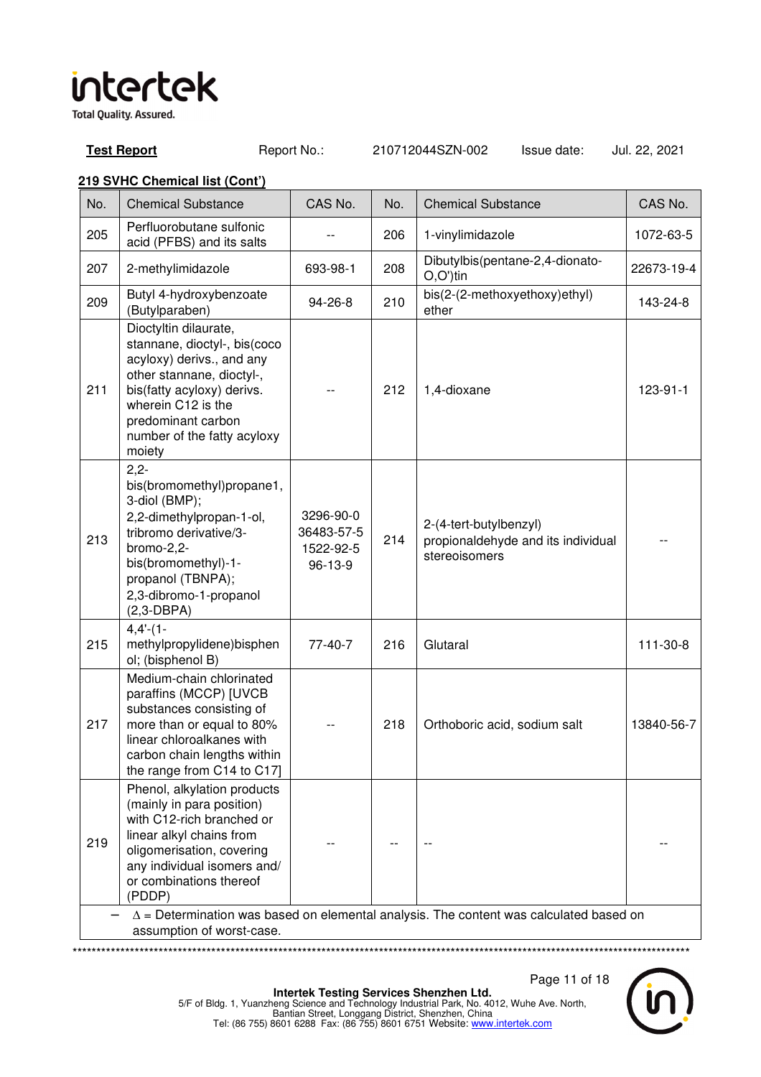**Test Report** Report No.: 210712044SZN-002 Issue date: Jul. 22, 2021

### **219 SVHC Chemical list (Cont')**

| No.                                                                                                                        | <b>Chemical Substance</b>                                                                                                                                                                                                          | CAS No.                                         | No. | <b>Chemical Substance</b>                                                     | CAS No.    |
|----------------------------------------------------------------------------------------------------------------------------|------------------------------------------------------------------------------------------------------------------------------------------------------------------------------------------------------------------------------------|-------------------------------------------------|-----|-------------------------------------------------------------------------------|------------|
| 205                                                                                                                        | Perfluorobutane sulfonic<br>acid (PFBS) and its salts                                                                                                                                                                              |                                                 | 206 | 1-vinylimidazole                                                              | 1072-63-5  |
| 207                                                                                                                        | 2-methylimidazole                                                                                                                                                                                                                  | 693-98-1                                        | 208 | Dibutylbis(pentane-2,4-dionato-<br>$O.O^{\prime}$ )tin                        | 22673-19-4 |
| 209                                                                                                                        | Butyl 4-hydroxybenzoate<br>(Butylparaben)                                                                                                                                                                                          | 94-26-8                                         | 210 | bis(2-(2-methoxyethoxy)ethyl)<br>ether                                        | 143-24-8   |
| 211                                                                                                                        | Dioctyltin dilaurate,<br>stannane, dioctyl-, bis(coco<br>acyloxy) derivs., and any<br>other stannane, dioctyl-,<br>bis(fatty acyloxy) derivs.<br>wherein C12 is the<br>predominant carbon<br>number of the fatty acyloxy<br>moiety |                                                 | 212 | 1,4-dioxane                                                                   | 123-91-1   |
| 213                                                                                                                        | $2,2-$<br>bis(bromomethyl)propane1,<br>3-diol (BMP);<br>2,2-dimethylpropan-1-ol,<br>tribromo derivative/3-<br>bromo-2,2-<br>bis(bromomethyl)-1-<br>propanol (TBNPA);<br>2,3-dibromo-1-propanol<br>$(2,3-DBPA)$                     | 3296-90-0<br>36483-57-5<br>1522-92-5<br>96-13-9 | 214 | 2-(4-tert-butylbenzyl)<br>propionaldehyde and its individual<br>stereoisomers |            |
| 215                                                                                                                        | $4,4-(1-$<br>methylpropylidene)bisphen<br>ol; (bisphenol B)                                                                                                                                                                        | 77-40-7                                         | 216 | Glutaral                                                                      | 111-30-8   |
| 217                                                                                                                        | Medium-chain chlorinated<br>paraffins (MCCP) [UVCB<br>substances consisting of<br>more than or equal to 80%<br>linear chloroalkanes with<br>carbon chain lengths within<br>the range from C14 to C17]                              |                                                 | 218 | Orthoboric acid, sodium salt                                                  | 13840-56-7 |
| 219                                                                                                                        | Phenol, alkylation products<br>(mainly in para position)<br>with C12-rich branched or<br>linear alkyl chains from<br>oligomerisation, covering<br>any individual isomers and/<br>or combinations thereof<br>(PDDP)                 |                                                 |     |                                                                               |            |
| $\Delta$ = Determination was based on elemental analysis. The content was calculated based on<br>assumption of worst-case. |                                                                                                                                                                                                                                    |                                                 |     |                                                                               |            |

\*\*\*\*\*\*\*\*\*\*\*\*\*\*\*\*\*\*\*\*\*\*\*\*\*\*\*\*\*\*\*\*\*\*\*\*\*\*\*\*\*\*\*\*\*\*\*\*\*\*\*\*\*\*\*\*\*\*\*\*\*\*\*\*\*\*\*\*\*\*\*\*\*\*\*\*\*\*\*\*\*\*\*\*\*\*\*\*\*\*\*\*\*\*\*\*\*\*\*\*\*\*\*\*\*\*\*\*\*\*\*\*\*\*\*\*\*\*\*\*\*\*\*\*\*\*\*\*\*

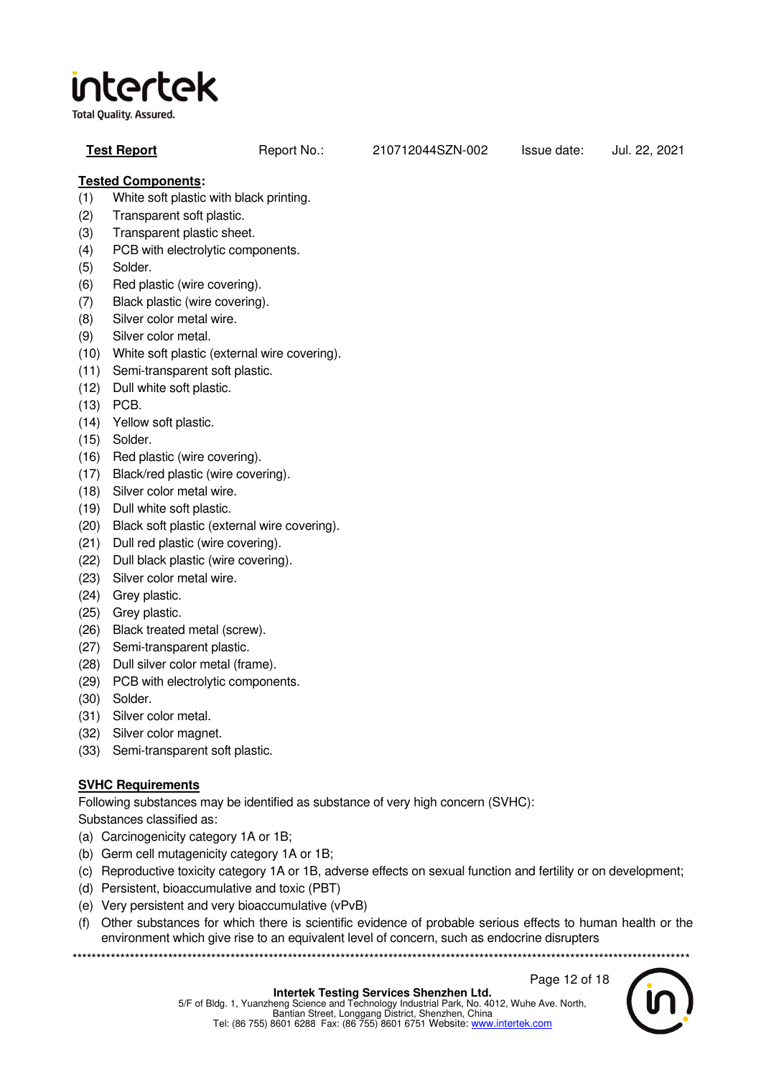**Total Quality. Assured.** 

| <b>Test Report</b> | Report No.: | 210712044SZN-002 | Issue date: | Jul. 22, 2021 |
|--------------------|-------------|------------------|-------------|---------------|
|--------------------|-------------|------------------|-------------|---------------|

### **Tested Components:**

- (1) White soft plastic with black printing.
- (2) Transparent soft plastic.
- (3) Transparent plastic sheet.
- (4) PCB with electrolytic components.
- (5) Solder.
- (6) Red plastic (wire covering).
- (7) Black plastic (wire covering).
- (8) Silver color metal wire.
- (9) Silver color metal.
- (10) White soft plastic (external wire covering).
- (11) Semi-transparent soft plastic.
- (12) Dull white soft plastic.
- (13) PCB.
- (14) Yellow soft plastic.
- (15) Solder.
- (16) Red plastic (wire covering).
- (17) Black/red plastic (wire covering).
- (18) Silver color metal wire.
- (19) Dull white soft plastic.
- (20) Black soft plastic (external wire covering).
- (21) Dull red plastic (wire covering).
- (22) Dull black plastic (wire covering).
- (23) Silver color metal wire.
- (24) Grey plastic.
- (25) Grey plastic.
- (26) Black treated metal (screw).
- (27) Semi-transparent plastic.
- (28) Dull silver color metal (frame).
- (29) PCB with electrolytic components.
- (30) Solder.
- (31) Silver color metal.
- (32) Silver color magnet.
- (33) Semi-transparent soft plastic.

### **SVHC Requirements**

Following substances may be identified as substance of very high concern (SVHC):

Substances classified as:

- (a) Carcinogenicity category 1A or 1B;
- (b) Germ cell mutagenicity category 1A or 1B;
- (c) Reproductive toxicity category 1A or 1B, adverse effects on sexual function and fertility or on development;
- (d) Persistent, bioaccumulative and toxic (PBT)
- (e) Very persistent and very bioaccumulative (vPvB)
- (f) Other substances for which there is scientific evidence of probable serious effects to human health or the environment which give rise to an equivalent level of concern, such as endocrine disrupters

\*\*\*\*\*\*\*\*\*\*\*\*\*\*\*\*\*\*\*\*\*\*\*\*\*\*\*\*\*\*\*\*\*\*\*\*\*\*\*\*\*\*\*\*\*\*\*\*\*\*\*\*\*\*\*\*\*\*\*\*\*\*\*\*\*\*\*\*\*\*\*\*\*\*\*\*\*\*\*\*\*\*\*\*\*\*\*\*\*\*\*\*\*\*\*\*\*\*\*\*\*\*\*\*\*\*\*\*\*\*\*\*\*\*\*\*\*\*\*\*\*\*\*\*\*\*\*\*\*



Page 12 of 18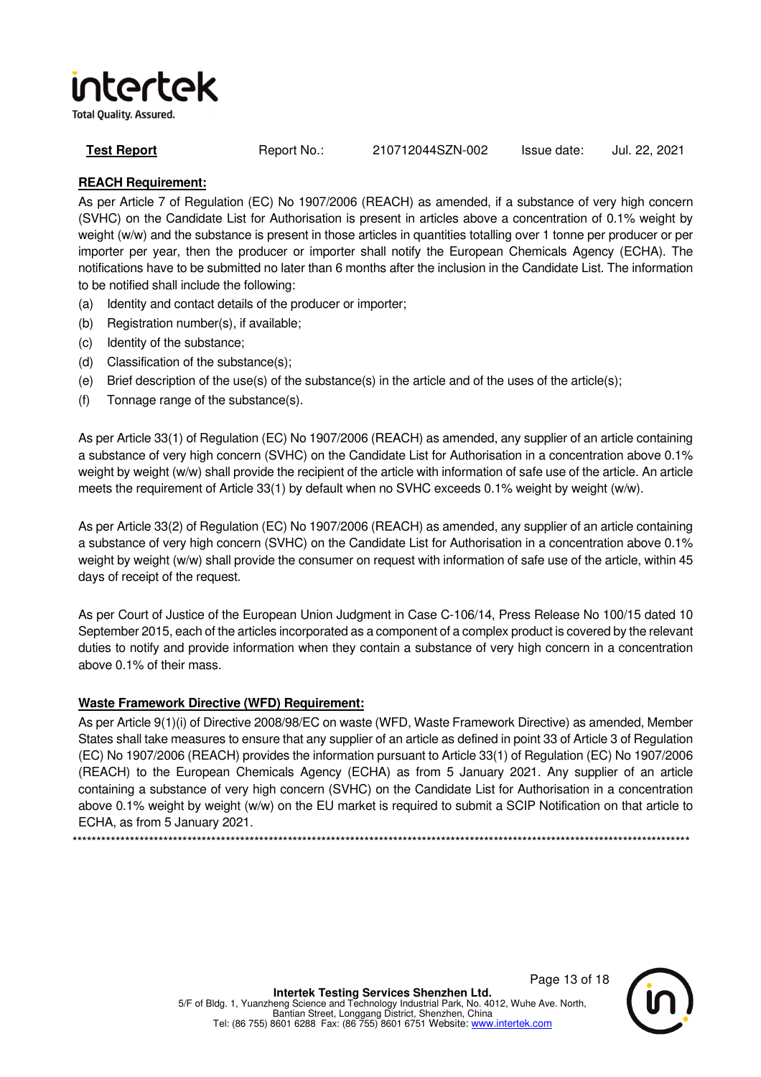**Total Quality. Assured.** 

**Test Report** Report No.: 210712044SZN-002 Issue date: Jul. 22, 2021

### **REACH Requirement:**

As per Article 7 of Regulation (EC) No 1907/2006 (REACH) as amended, if a substance of very high concern (SVHC) on the Candidate List for Authorisation is present in articles above a concentration of 0.1% weight by weight (w/w) and the substance is present in those articles in quantities totalling over 1 tonne per producer or per importer per year, then the producer or importer shall notify the European Chemicals Agency (ECHA). The notifications have to be submitted no later than 6 months after the inclusion in the Candidate List. The information to be notified shall include the following:

- (a) Identity and contact details of the producer or importer;
- (b) Registration number(s), if available;
- (c) Identity of the substance;
- (d) Classification of the substance(s);
- (e) Brief description of the use(s) of the substance(s) in the article and of the uses of the article(s);
- (f) Tonnage range of the substance(s).

As per Article 33(1) of Regulation (EC) No 1907/2006 (REACH) as amended, any supplier of an article containing a substance of very high concern (SVHC) on the Candidate List for Authorisation in a concentration above 0.1% weight by weight (w/w) shall provide the recipient of the article with information of safe use of the article. An article meets the requirement of Article 33(1) by default when no SVHC exceeds 0.1% weight by weight (w/w).

As per Article 33(2) of Regulation (EC) No 1907/2006 (REACH) as amended, any supplier of an article containing a substance of very high concern (SVHC) on the Candidate List for Authorisation in a concentration above 0.1% weight by weight (w/w) shall provide the consumer on request with information of safe use of the article, within 45 days of receipt of the request.

As per Court of Justice of the European Union Judgment in Case C-106/14, Press Release No 100/15 dated 10 September 2015, each of the articles incorporated as a component of a complex product is covered by the relevant duties to notify and provide information when they contain a substance of very high concern in a concentration above 0.1% of their mass.

### **Waste Framework Directive (WFD) Requirement:**

As per Article 9(1)(i) of Directive 2008/98/EC on waste (WFD, Waste Framework Directive) as amended, Member States shall take measures to ensure that any supplier of an article as defined in point 33 of Article 3 of Regulation (EC) No 1907/2006 (REACH) provides the information pursuant to Article 33(1) of Regulation (EC) No 1907/2006 (REACH) to the European Chemicals Agency (ECHA) as from 5 January 2021. Any supplier of an article containing a substance of very high concern (SVHC) on the Candidate List for Authorisation in a concentration above 0.1% weight by weight (w/w) on the EU market is required to submit a SCIP Notification on that article to ECHA, as from 5 January 2021.

\*\*\*\*\*\*\*\*\*\*\*\*\*\*\*\*\*\*\*\*\*\*\*\*\*\*\*\*\*\*\*\*\*\*\*\*\*\*\*\*\*\*\*\*\*\*\*\*\*\*\*\*\*\*\*\*\*\*\*\*\*\*\*\*\*\*\*\*\*\*\*\*\*\*\*\*\*\*\*\*\*\*\*\*\*\*\*\*\*\*\*\*\*\*\*\*\*\*\*\*\*\*\*\*\*\*\*\*\*\*\*\*\*\*\*\*\*\*\*\*\*\*\*\*\*\*\*\*\*

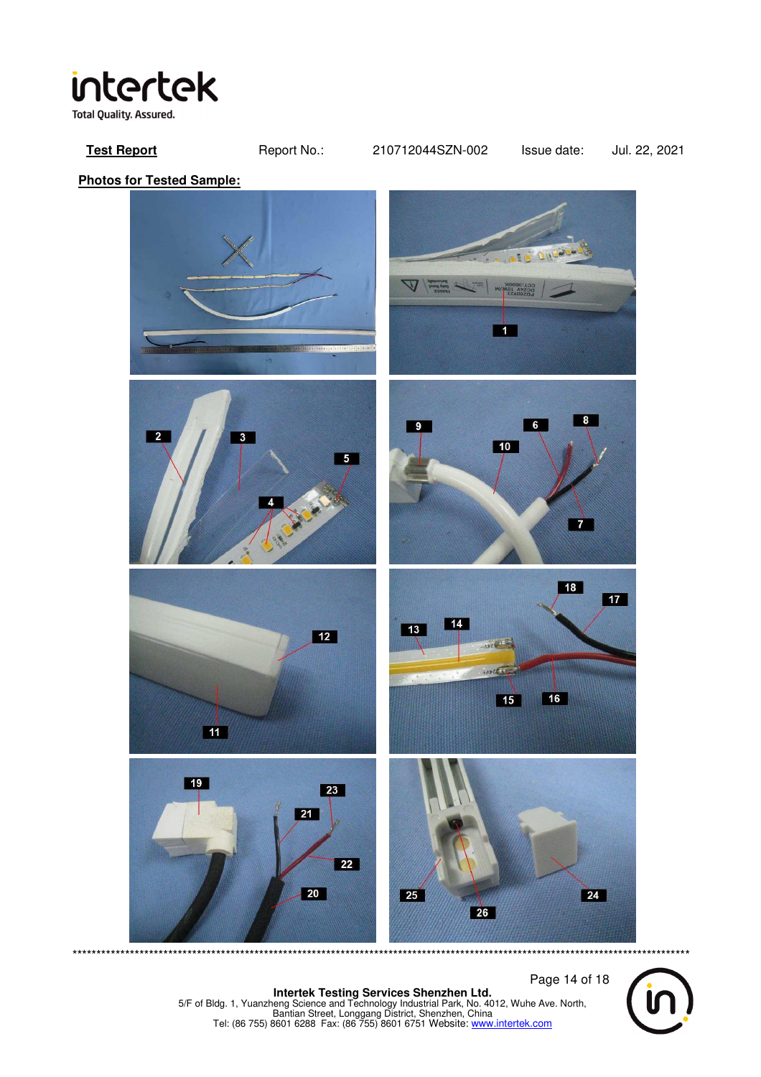

**Test Report** Report No.: 210712044SZN-002 Issue date: Jul. 22, 2021

**Photos for Tested Sample:** 



 Page 14 of 18 **Intertek Testing Services Shenzhen Ltd.**<br>5/F of Bldg. 1, Yuanzheng Science and Technology Industrial Park, No. 4012, Wuhe Ave. North,<br>Bantian Street, Longgang District, Shenzhen, China<br>Tel: (86 755) 8601 6288 Fax: (86 755

\*\*\*\*\*\*\*\*\*\*\*\*\*\*\*\*\*\*\*\*\*\*\*\*\*\*\*\*\*\*\*\*\*\*\*\*\*\*\*\*\*\*\*\*\*\*\*\*\*\*\*\*\*\*\*\*\*\*\*\*\*\*\*\*\*\*\*\*\*\*\*\*\*\*\*\*\*\*\*\*\*\*\*\*\*\*\*\*\*\*\*\*\*\*\*\*\*\*\*\*\*\*\*\*\*\*\*\*\*\*\*\*\*\*\*\*\*\*\*\*\*\*\*\*\*\*\*\*\*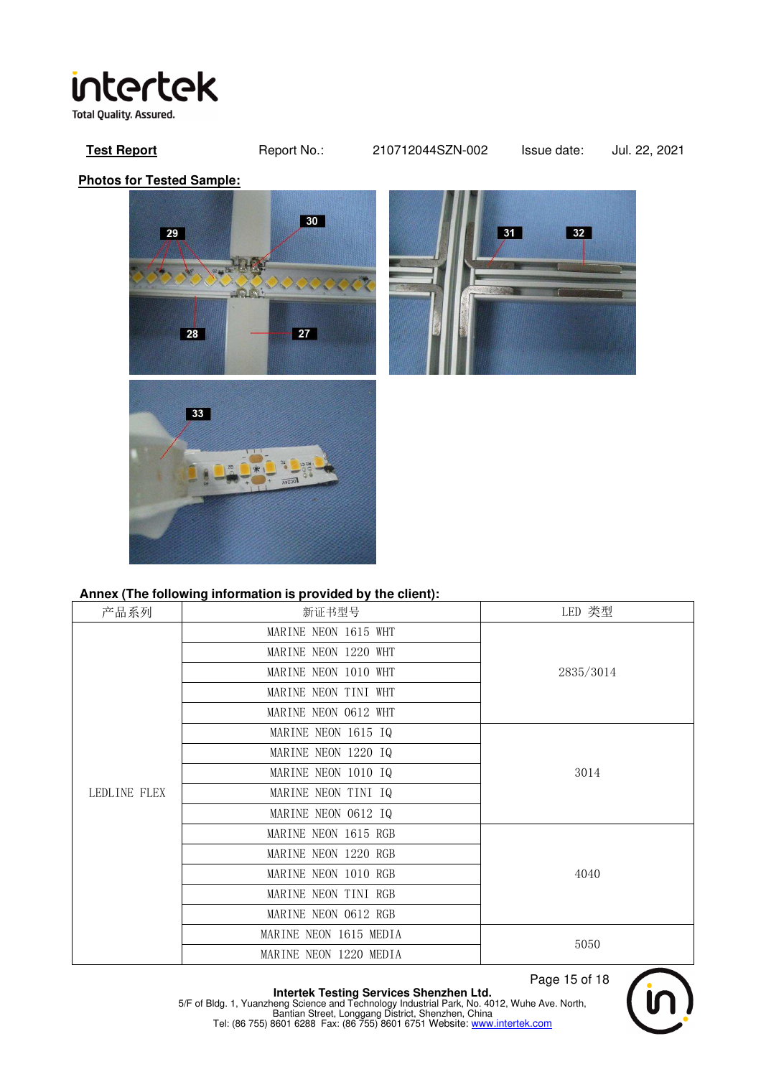**Test Report** Report No.: 210712044SZN-002 Issue date: Jul. 22, 2021

**Photos for Tested Sample:** 





### **Annex (The following information is provided by the client):**

| 产品系列         | 新证书型号                  | LED 类型    |  |
|--------------|------------------------|-----------|--|
|              | MARINE NEON 1615 WHT   |           |  |
|              | MARINE NEON 1220 WHT   |           |  |
|              | MARINE NEON 1010 WHT   | 2835/3014 |  |
|              | MARINE NEON TINI WHT   |           |  |
|              | MARINE NEON 0612 WHT   |           |  |
|              | MARINE NEON 1615 IQ    |           |  |
|              | MARINE NEON 1220 IQ    | 3014      |  |
|              | MARINE NEON 1010 IQ    |           |  |
| LEDLINE FLEX | MARINE NEON TINI IQ    |           |  |
|              | MARINE NEON 0612 IQ    |           |  |
|              | MARINE NEON 1615 RGB   |           |  |
|              | MARINE NEON 1220 RGB   |           |  |
|              | MARINE NEON 1010 RGB   | 4040      |  |
|              | MARINE NEON TINI RGB   |           |  |
|              | MARINE NEON 0612 RGB   |           |  |
|              | MARINE NEON 1615 MEDIA | 5050      |  |
|              | MARINE NEON 1220 MEDIA |           |  |

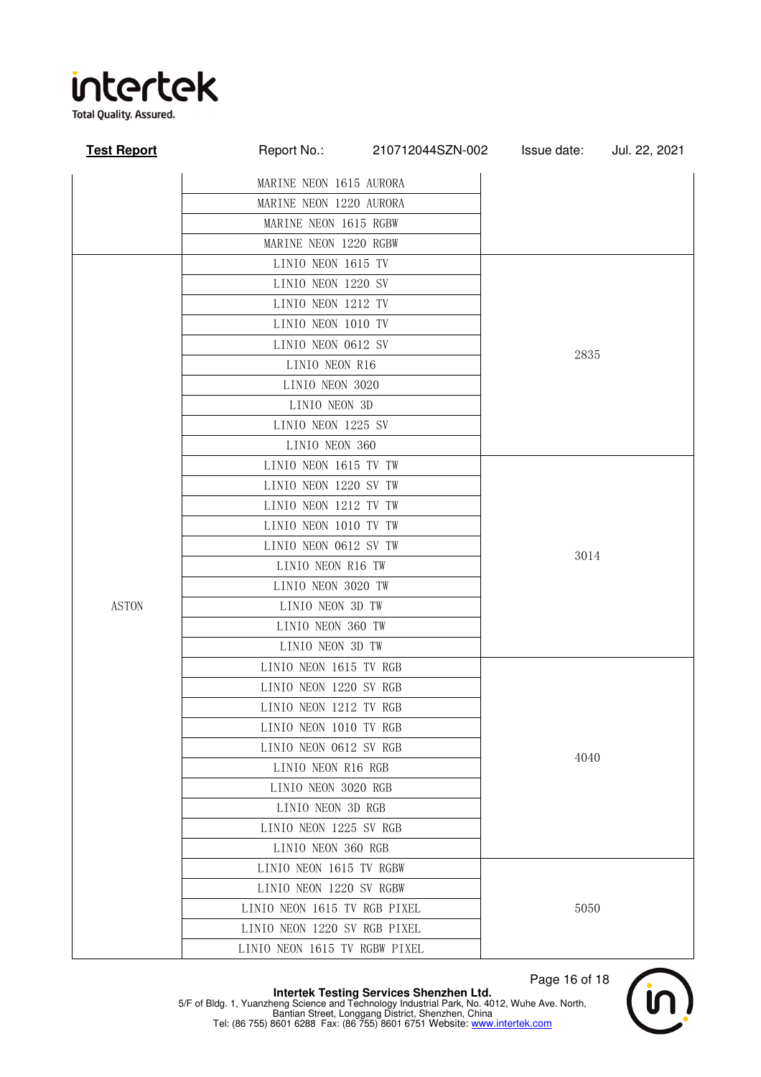

**Total Quality. Assured.** 

| <b>Test Report</b> | Report No.:                   | 210712044SZN-002 | Issue date: | Jul. 22, 2021 |  |
|--------------------|-------------------------------|------------------|-------------|---------------|--|
|                    | MARINE NEON 1615 AURORA       |                  |             |               |  |
|                    | MARINE NEON 1220 AURORA       |                  |             |               |  |
|                    | MARINE NEON 1615 RGBW         |                  |             |               |  |
|                    | MARINE NEON 1220 RGBW         |                  |             |               |  |
|                    | LINIO NEON 1615 TV            |                  |             |               |  |
|                    | LINIO NEON 1220 SV            |                  |             |               |  |
|                    | LINIO NEON 1212 TV            |                  |             |               |  |
|                    | LINIO NEON 1010 TV            |                  |             |               |  |
|                    | LINIO NEON 0612 SV            |                  |             |               |  |
|                    | LINIO NEON R16                |                  | 2835        |               |  |
|                    | LINIO NEON 3020               |                  |             |               |  |
|                    | LINIO NEON 3D                 |                  |             |               |  |
|                    | LINIO NEON 1225 SV            |                  |             |               |  |
|                    | LINIO NEON 360                |                  |             |               |  |
|                    | LINIO NEON 1615 TV TW         |                  |             |               |  |
|                    | LINIO NEON 1220 SV TW         |                  |             |               |  |
|                    | LINIO NEON 1212 TV TW         |                  | 3014        |               |  |
|                    | LINIO NEON 1010 TV TW         |                  |             |               |  |
|                    | LINIO NEON 0612 SV TW         |                  |             |               |  |
|                    | LINIO NEON R16 TW             |                  |             |               |  |
|                    | LINIO NEON 3020 TW            |                  |             |               |  |
| <b>ASTON</b>       | LINIO NEON 3D TW              |                  |             |               |  |
|                    | LINIO NEON 360 TW             |                  |             |               |  |
|                    | LINIO NEON 3D TW              |                  |             |               |  |
|                    | LINIO NEON 1615 TV RGB        |                  |             |               |  |
|                    | LINIO NEON 1220 SV RGB        |                  |             |               |  |
|                    | LINIO NEON 1212 TV RGB        |                  |             |               |  |
|                    | LINIO NEON 1010 TV RGB        |                  |             |               |  |
|                    | LINIO NEON 0612 SV RGB        |                  | 4040        |               |  |
|                    | LINIO NEON R16 RGB            |                  |             |               |  |
|                    | LINIO NEON 3020 RGB           |                  |             |               |  |
|                    | LINIO NEON 3D RGB             |                  |             |               |  |
|                    | LINIO NEON 1225 SV RGB        |                  |             |               |  |
|                    | LINIO NEON 360 RGB            |                  |             |               |  |
|                    | LINIO NEON 1615 TV RGBW       |                  | 5050        |               |  |
|                    | LINIO NEON 1220 SV RGBW       |                  |             |               |  |
|                    | LINIO NEON 1615 TV RGB PIXEL  |                  |             |               |  |
|                    | LINIO NEON 1220 SV RGB PIXEL  |                  |             |               |  |
|                    | LINIO NEON 1615 TV RGBW PIXEL |                  |             |               |  |

 Page 16 of 18 **Intertek Testing Services Shenzhen Ltd.**<br>5/F of Bldg. 1, Yuanzheng Science and Technology Industrial Park, No. 4012, Wuhe Ave. North,<br>Bantian Street, Longgang District, Shenzhen, China<br>Tel: (86 755) 8601 6288 Fax: (86 755

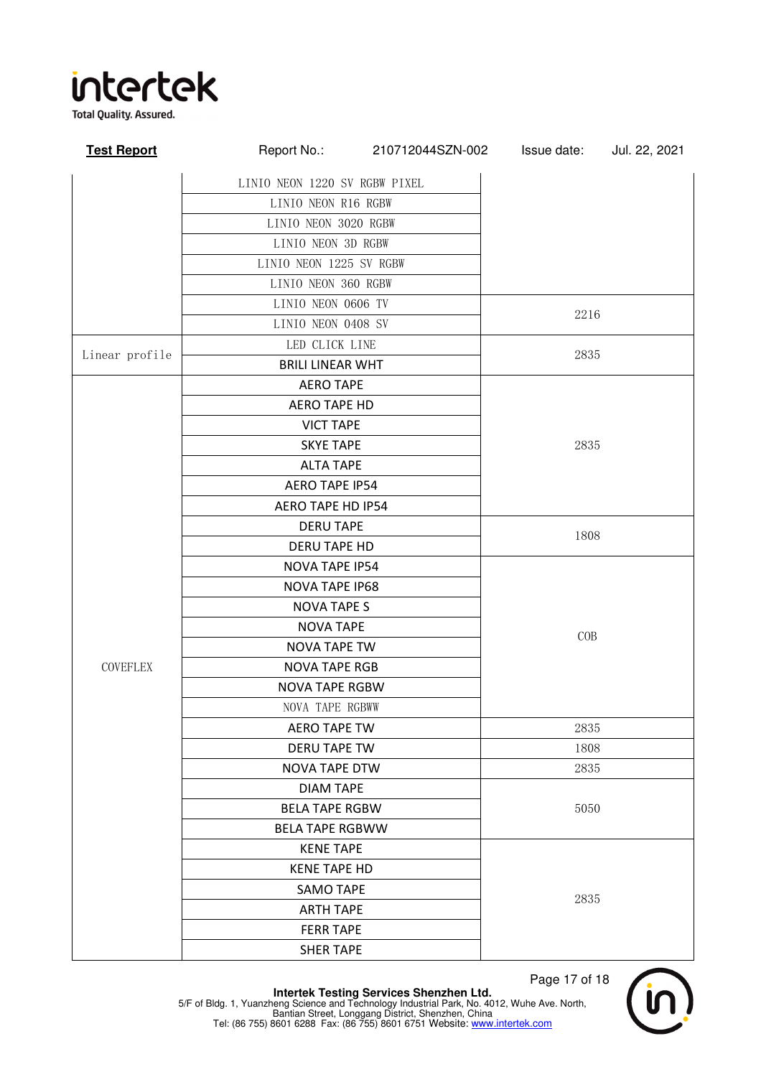

**Test Report** Report No.: 210712044SZN-002 Issue date: Jul. 22, 2021 LINIO NEON 1220 SV RGBW PIXEL LINIO NEON R16 RGBW LINIO NEON 3020 RGBW LINIO NEON 3D RGBW LINIO NEON 1225 SV RGBW LINIO NEON 360 RGBW LINIO NEON 0606 TV 2216 LINIO NEON 0408 SV Linear profile LED CLICK LINE 2835 BRILI LINEAR WHT **COVEFLEX** AERO TAPE 2835 AERO TAPE HD VICT TAPE SKYE TAPE ALTA TAPE AERO TAPE IP54 AERO TAPE HD IP54 DERU TAPE 1808 DERU TAPE HD NOVA TAPE IP54 COB NOVA TAPE IP68 NOVA TAPE S NOVA TAPE NOVA TAPE TW NOVA TAPE RGB NOVA TAPE RGBW NOVA TAPE RGBWW AERO TAPE TW **NAPLA 2835** DERU TAPE TW 1808 NOVA TAPE DTW 2835 DIAM TAPE BELA TAPE RGBW 5050 BELA TAPE RGBWW KENE TAPE 2835 KENE TAPE HD SAMO TAPE ARTH TAPE FERR TAPE SHER TAPE